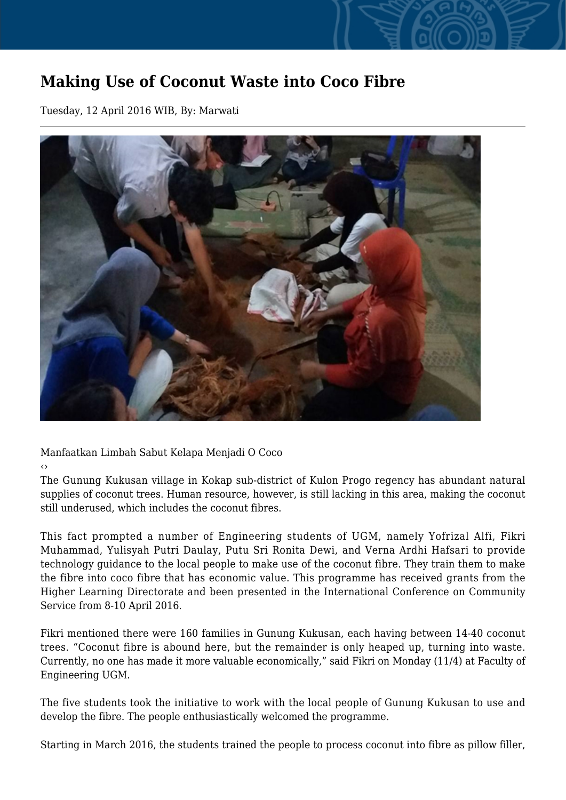## **Making Use of Coconut Waste into Coco Fibre**

Tuesday, 12 April 2016 WIB, By: Marwati



Manfaatkan Limbah Sabut Kelapa Menjadi O Coco

‹›

The Gunung Kukusan village in Kokap sub-district of Kulon Progo regency has abundant natural supplies of coconut trees. Human resource, however, is still lacking in this area, making the coconut still underused, which includes the coconut fibres.

This fact prompted a number of Engineering students of UGM, namely Yofrizal Alfi, Fikri Muhammad, Yulisyah Putri Daulay, Putu Sri Ronita Dewi, and Verna Ardhi Hafsari to provide technology guidance to the local people to make use of the coconut fibre. They train them to make the fibre into coco fibre that has economic value. This programme has received grants from the Higher Learning Directorate and been presented in the International Conference on Community Service from 8-10 April 2016.

Fikri mentioned there were 160 families in Gunung Kukusan, each having between 14-40 coconut trees. "Coconut fibre is abound here, but the remainder is only heaped up, turning into waste. Currently, no one has made it more valuable economically," said Fikri on Monday (11/4) at Faculty of Engineering UGM.

The five students took the initiative to work with the local people of Gunung Kukusan to use and develop the fibre. The people enthusiastically welcomed the programme.

Starting in March 2016, the students trained the people to process coconut into fibre as pillow filler,